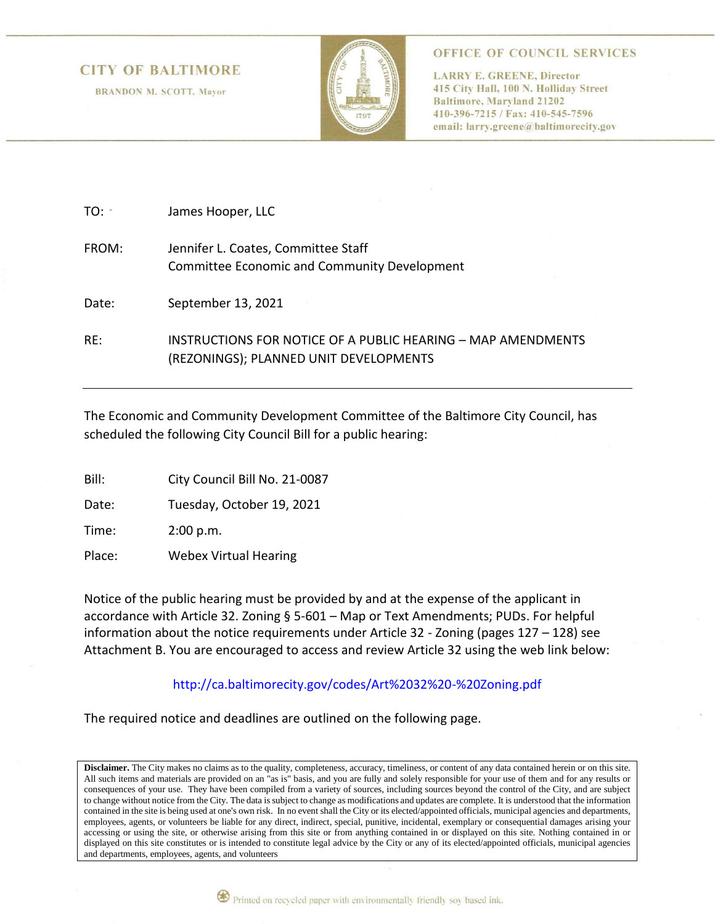### **CITY OF BALTIMORE**

**BRANDON M. SCOTT, Mayor** 



OFFICE OF COUNCIL SERVICES

**LARRY E. GREENE, Director** 415 City Hall, 100 N. Holliday Street **Baltimore, Maryland 21202** 410-396-7215 / Fax: 410-545-7596 email: larry.greene@baltimorecity.gov

TO: James Hooper, LLC

FROM: Jennifer L. Coates, Committee Staff Committee Economic and Community Development

Date: September 13, 2021

RE: INSTRUCTIONS FOR NOTICE OF A PUBLIC HEARING – MAP AMENDMENTS (REZONINGS); PLANNED UNIT DEVELOPMENTS

The Economic and Community Development Committee of the Baltimore City Council, has scheduled the following City Council Bill for a public hearing:

Bill: City Council Bill No. 21-0087

Date: Tuesday, October 19, 2021

Time: 2:00 p.m.

Place: Webex Virtual Hearing

Notice of the public hearing must be provided by and at the expense of the applicant in accordance with Article 32. Zoning § 5-601 – Map or Text Amendments; PUDs. For helpful information about the notice requirements under Article 32 - Zoning (pages 127 – 128) see Attachment B. You are encouraged to access and review Article 32 using the web link below:

http://ca.baltimorecity.gov/codes/Art%2032%20-%20Zoning.pdf

The required notice and deadlines are outlined on the following page.

**Disclaimer.** The City makes no claims as to the quality, completeness, accuracy, timeliness, or content of any data contained herein or on this site. All such items and materials are provided on an "as is" basis, and you are fully and solely responsible for your use of them and for any results or consequences of your use. They have been compiled from a variety of sources, including sources beyond the control of the City, and are subject to change without notice from the City. The data is subject to change as modifications and updates are complete. It is understood that the information contained in the site is being used at one's own risk. In no event shall the City or its elected/appointed officials, municipal agencies and departments, employees, agents, or volunteers be liable for any direct, indirect, special, punitive, incidental, exemplary or consequential damages arising your accessing or using the site, or otherwise arising from this site or from anything contained in or displayed on this site. Nothing contained in or displayed on this site constitutes or is intended to constitute legal advice by the City or any of its elected/appointed officials, municipal agencies and departments, employees, agents, and volunteers

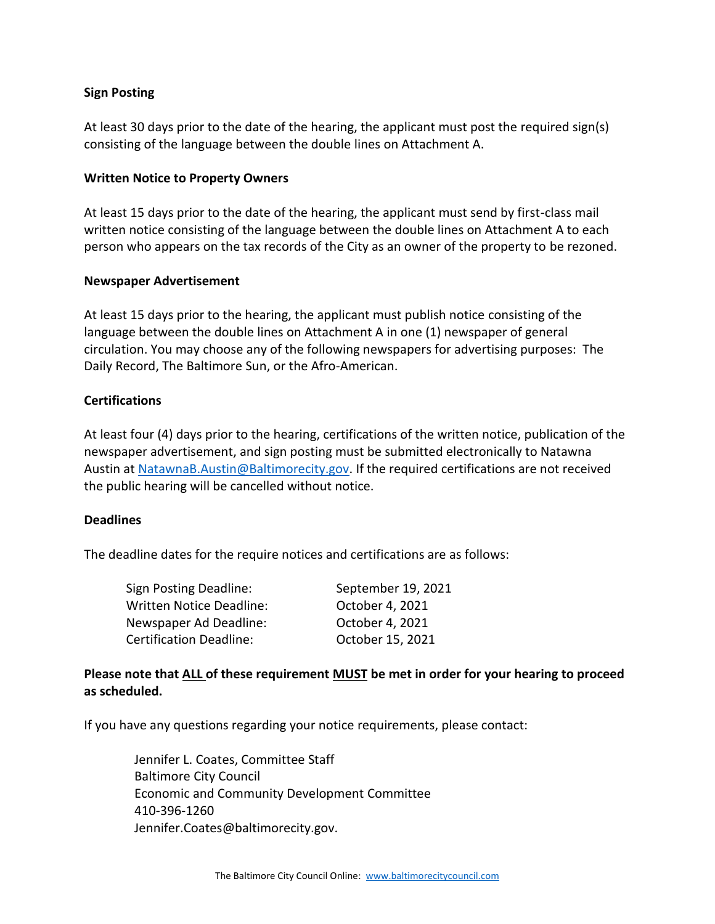### **Sign Posting**

At least 30 days prior to the date of the hearing, the applicant must post the required sign(s) consisting of the language between the double lines on Attachment A.

### **Written Notice to Property Owners**

At least 15 days prior to the date of the hearing, the applicant must send by first-class mail written notice consisting of the language between the double lines on Attachment A to each person who appears on the tax records of the City as an owner of the property to be rezoned.

### **Newspaper Advertisement**

At least 15 days prior to the hearing, the applicant must publish notice consisting of the language between the double lines on Attachment A in one (1) newspaper of general circulation. You may choose any of the following newspapers for advertising purposes: The Daily Record, The Baltimore Sun, or the Afro-American.

### **Certifications**

At least four (4) days prior to the hearing, certifications of the written notice, publication of the newspaper advertisement, and sign posting must be submitted electronically to Natawna Austin at [NatawnaB.Austin@Baltimorecity.gov.](mailto:NatawnaB.Austin@Baltimorecity.gov) If the required certifications are not received the public hearing will be cancelled without notice.

### **Deadlines**

The deadline dates for the require notices and certifications are as follows:

| <b>Sign Posting Deadline:</b><br><b>Written Notice Deadline:</b> | September 19, 2021 |  |
|------------------------------------------------------------------|--------------------|--|
|                                                                  | October 4, 2021    |  |
| Newspaper Ad Deadline:                                           | October 4, 2021    |  |
| <b>Certification Deadline:</b>                                   | October 15, 2021   |  |

## **Please note that ALL of these requirement MUST be met in order for your hearing to proceed as scheduled.**

If you have any questions regarding your notice requirements, please contact:

Jennifer L. Coates, Committee Staff Baltimore City Council Economic and Community Development Committee 410-396-1260 Jennifer.Coates@baltimorecity.gov.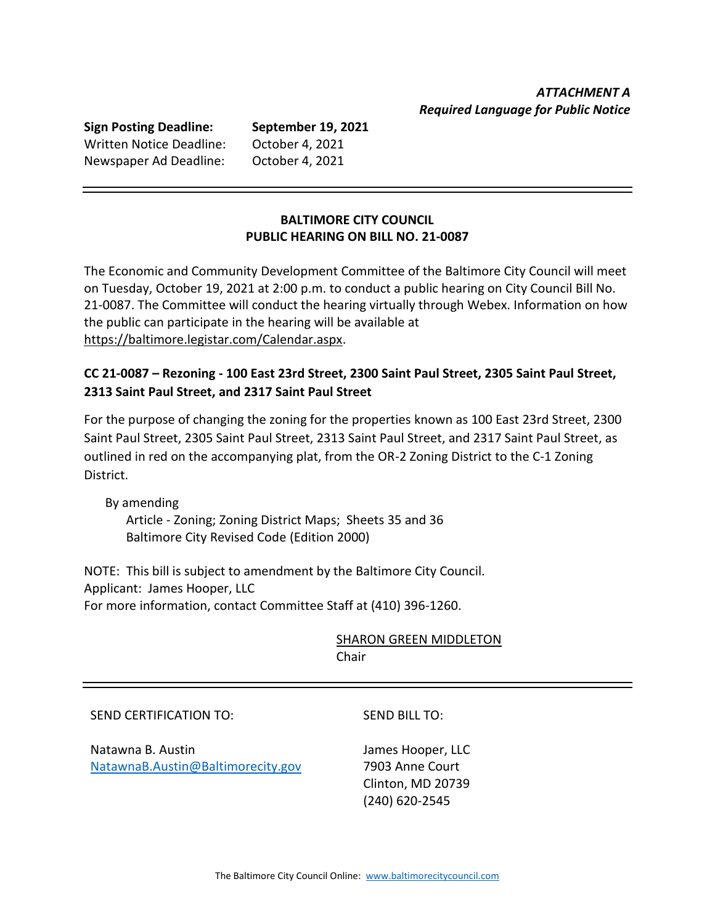**Sign Posting Deadline: September 19, 2021** Written Notice Deadline: October 4, 2021 Newspaper Ad Deadline: October 4, 2021

# **BALTIMORE CITY COUNCIL PUBLIC HEARING ON BILL NO. 21-0087**

The Economic and Community Development Committee of the Baltimore City Council will meet on Tuesday, October 19, 2021 at 2:00 p.m. to conduct a public hearing on City Council Bill No. 21-0087. The Committee will conduct the hearing virtually through Webex. Information on how the public can participate in the hearing will be available at https://baltimore.legistar.com/Calendar.aspx.

# **CC 21-0087 – Rezoning - 100 East 23rd Street, 2300 Saint Paul Street, 2305 Saint Paul Street, 2313 Saint Paul Street, and 2317 Saint Paul Street**

For the purpose of changing the zoning for the properties known as 100 East 23rd Street, 2300 Saint Paul Street, 2305 Saint Paul Street, 2313 Saint Paul Street, and 2317 Saint Paul Street, as outlined in red on the accompanying plat, from the OR-2 Zoning District to the C-1 Zoning District.

By amending Article - Zoning; Zoning District Maps; Sheets 35 and 36 Baltimore City Revised Code (Edition 2000)

NOTE: This bill is subject to amendment by the Baltimore City Council. Applicant: James Hooper, LLC For more information, contact Committee Staff at (410) 396-1260.

> SHARON GREEN MIDDLETON Chair

SEND CERTIFICATION TO:

SEND BILL TO:

Natawna B. Austin [NatawnaB.Austin@Baltimorecity.gov](mailto:NatawnaB.Austin@Baltimorecity.gov) James Hooper, LLC 7903 Anne Court Clinton, MD 20739 (240) 620-2545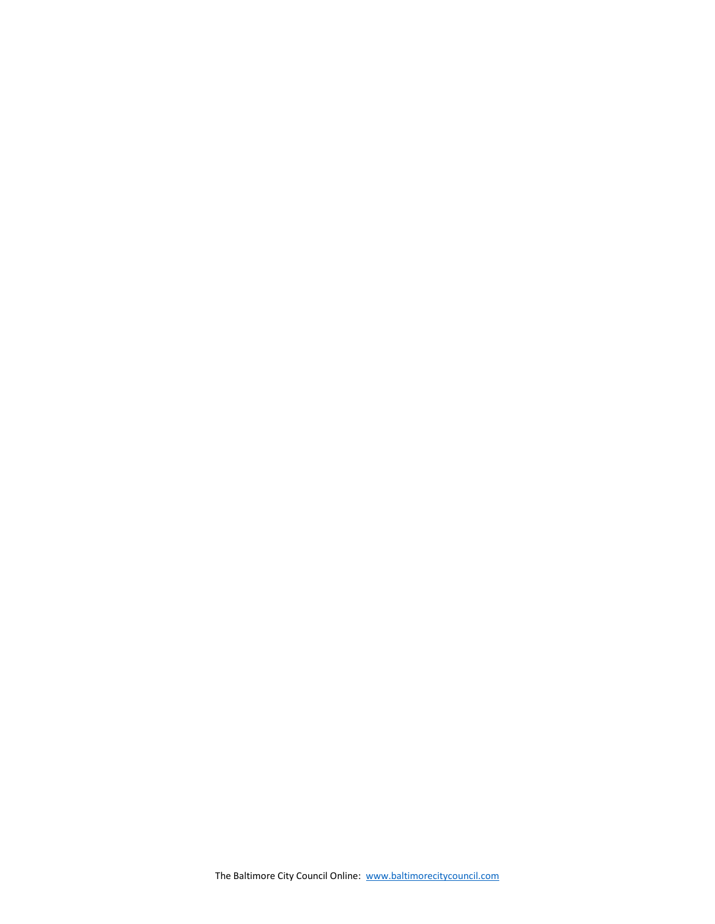The Baltimore City Council Online: [www.baltimorecitycouncil.com](http://www.baltimorecitycouncil.com/)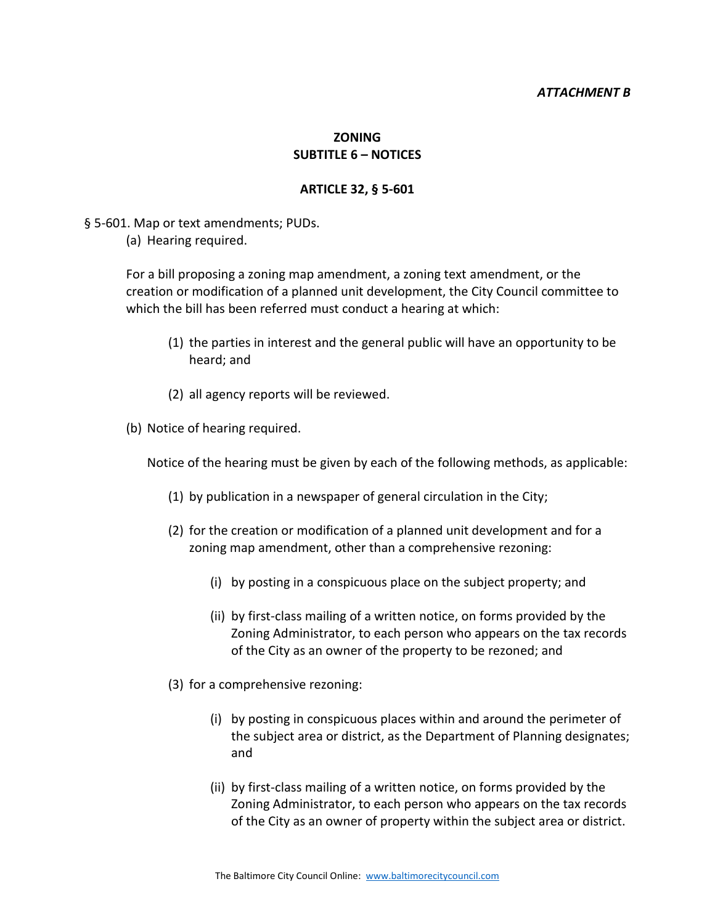### *ATTACHMENT B*

# **ZONING SUBTITLE 6 – NOTICES**

#### **ARTICLE 32, § 5-601**

§ 5-601. Map or text amendments; PUDs.

(a) Hearing required.

For a bill proposing a zoning map amendment, a zoning text amendment, or the creation or modification of a planned unit development, the City Council committee to which the bill has been referred must conduct a hearing at which:

- (1) the parties in interest and the general public will have an opportunity to be heard; and
- (2) all agency reports will be reviewed.
- (b) Notice of hearing required.

Notice of the hearing must be given by each of the following methods, as applicable:

- (1) by publication in a newspaper of general circulation in the City;
- (2) for the creation or modification of a planned unit development and for a zoning map amendment, other than a comprehensive rezoning:
	- (i) by posting in a conspicuous place on the subject property; and
	- (ii) by first-class mailing of a written notice, on forms provided by the Zoning Administrator, to each person who appears on the tax records of the City as an owner of the property to be rezoned; and
- (3) for a comprehensive rezoning:
	- (i) by posting in conspicuous places within and around the perimeter of the subject area or district, as the Department of Planning designates; and
	- (ii) by first-class mailing of a written notice, on forms provided by the Zoning Administrator, to each person who appears on the tax records of the City as an owner of property within the subject area or district.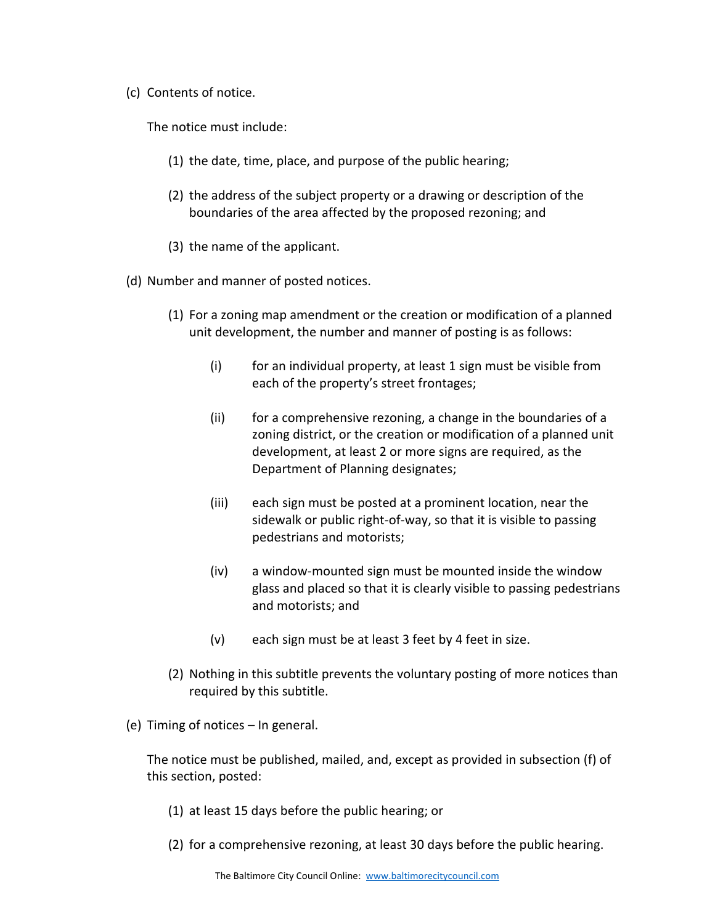(c) Contents of notice.

The notice must include:

- (1) the date, time, place, and purpose of the public hearing;
- (2) the address of the subject property or a drawing or description of the boundaries of the area affected by the proposed rezoning; and
- (3) the name of the applicant.
- (d) Number and manner of posted notices.
	- (1) For a zoning map amendment or the creation or modification of a planned unit development, the number and manner of posting is as follows:
		- (i) for an individual property, at least 1 sign must be visible from each of the property's street frontages;
		- (ii) for a comprehensive rezoning, a change in the boundaries of a zoning district, or the creation or modification of a planned unit development, at least 2 or more signs are required, as the Department of Planning designates;
		- (iii) each sign must be posted at a prominent location, near the sidewalk or public right-of-way, so that it is visible to passing pedestrians and motorists;
		- (iv) a window-mounted sign must be mounted inside the window glass and placed so that it is clearly visible to passing pedestrians and motorists; and
		- (v) each sign must be at least 3 feet by 4 feet in size.
	- (2) Nothing in this subtitle prevents the voluntary posting of more notices than required by this subtitle.
- (e) Timing of notices In general.

The notice must be published, mailed, and, except as provided in subsection (f) of this section, posted:

- (1) at least 15 days before the public hearing; or
- (2) for a comprehensive rezoning, at least 30 days before the public hearing.